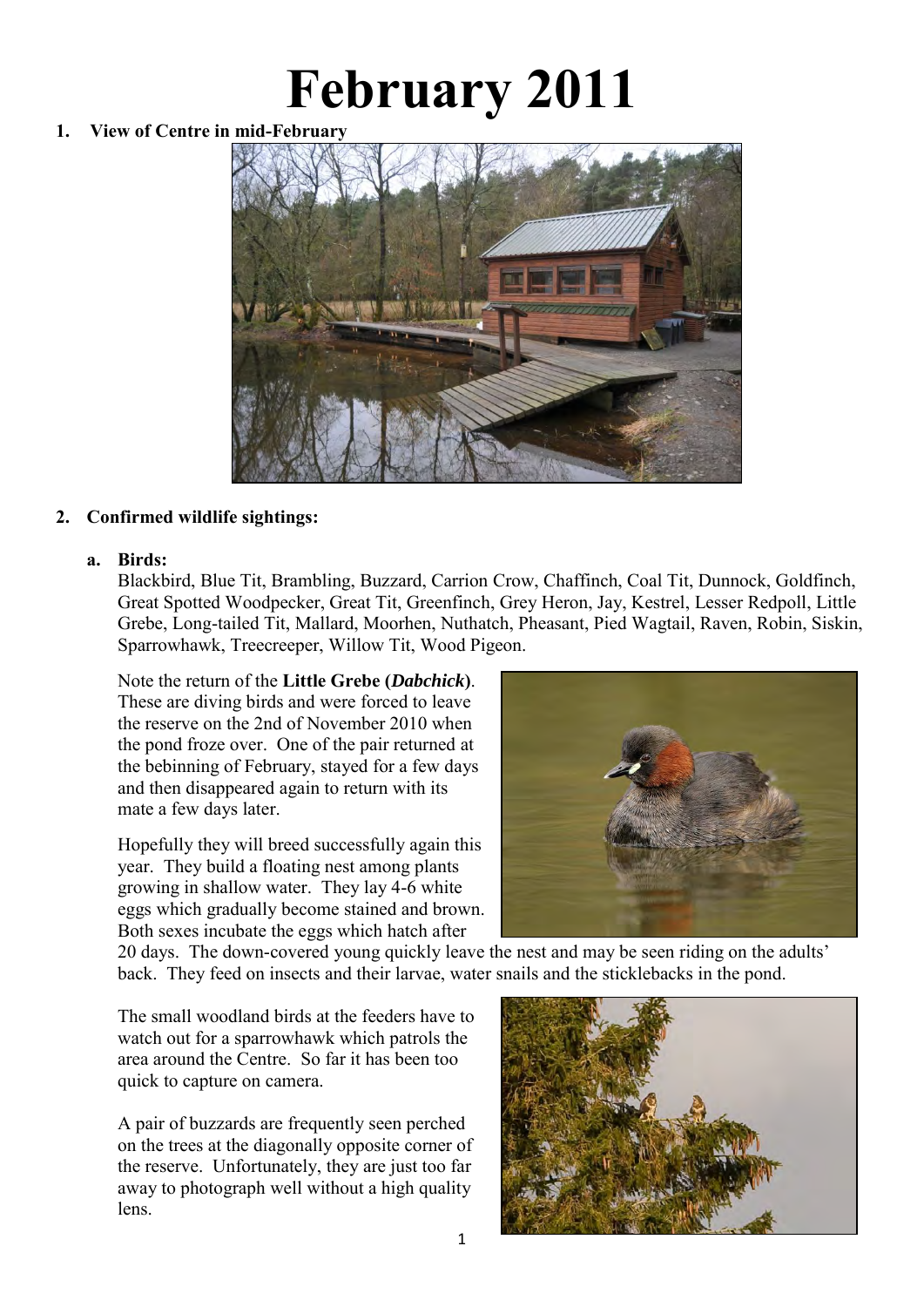# **February 2011**

## **1. View of Centre in mid-February**



## **2. Confirmed wildlife sightings:**

#### **a. Birds:**

Blackbird, Blue Tit, Brambling, Buzzard, Carrion Crow, Chaffinch, Coal Tit, Dunnock, Goldfinch, Great Spotted Woodpecker, Great Tit, Greenfinch, Grey Heron, Jay, Kestrel, Lesser Redpoll, Little Grebe, Long-tailed Tit, Mallard, Moorhen, Nuthatch, Pheasant, Pied Wagtail, Raven, Robin, Siskin, Sparrowhawk, Treecreeper, Willow Tit, Wood Pigeon.

Note the return of the **Little Grebe (***Dabchick***)**. These are diving birds and were forced to leave the reserve on the 2nd of November 2010 when the pond froze over. One of the pair returned at the bebinning of February, stayed for a few days and then disappeared again to return with its mate a few days later.

Hopefully they will breed successfully again this year. They build a floating nest among plants growing in shallow water. They lay 4-6 white eggs which gradually become stained and brown. Both sexes incubate the eggs which hatch after



20 days. The down-covered young quickly leave the nest and may be seen riding on the adults' back. They feed on insects and their larvae, water snails and the sticklebacks in the pond.

The small woodland birds at the feeders have to watch out for a sparrowhawk which patrols the area around the Centre. So far it has been too quick to capture on camera.

A pair of buzzards are frequently seen perched on the trees at the diagonally opposite corner of the reserve. Unfortunately, they are just too far away to photograph well without a high quality lens.

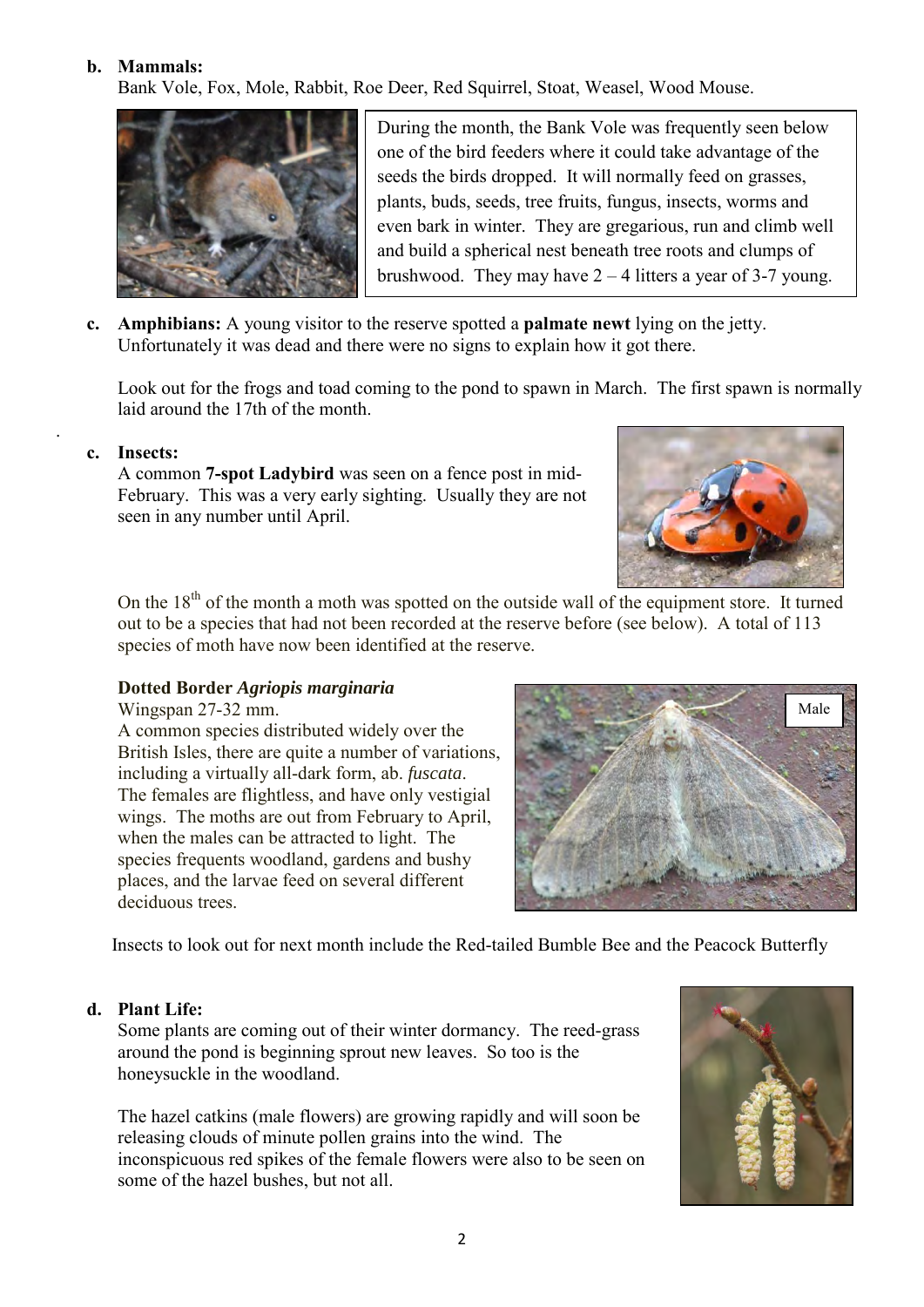#### **b. Mammals:**

Bank Vole, Fox, Mole, Rabbit, Roe Deer, Red Squirrel, Stoat, Weasel, Wood Mouse.



During the month, the Bank Vole was frequently seen below one of the bird feeders where it could take advantage of the seeds the birds dropped. It will normally feed on grasses, plants, buds, seeds, tree fruits, fungus, insects, worms and even bark in winter. They are gregarious, run and climb well and build a spherical nest beneath tree roots and clumps of brushwood. They may have  $2 - 4$  litters a year of 3-7 young.

**c. Amphibians:** A young visitor to the reserve spotted a **palmate newt** lying on the jetty. Unfortunately it was dead and there were no signs to explain how it got there.

 Look out for the frogs and toad coming to the pond to spawn in March. The first spawn is normally laid around the 17th of the month.

**c. Insects:** 

.

A common **7-spot Ladybird** was seen on a fence post in mid- February. This was a very early sighting. Usually they are not seen in any number until April.



On the  $18<sup>th</sup>$  of the month a moth was spotted on the outside wall of the equipment store. It turned out to be a species that had not been recorded at the reserve before (see below). A total of 113 species of moth have now been identified at the reserve.

#### **Dotted Border** *Agriopis marginaria*

Wingspan 27-32 mm.

 A common species distributed widely over the British Isles, there are quite a number of variations, including a virtually all-dark form, ab. *fuscata*. The females are flightless, and have only vestigial wings. The moths are out from February to April, when the males can be attracted to light. The species frequents woodland, gardens and bushy places, and the larvae feed on several different deciduous trees.



Insects to look out for next month include the Red-tailed Bumble Bee and the Peacock Butterfly

## **d. Plant Life:**

Some plants are coming out of their winter dormancy. The reed-grass around the pond is beginning sprout new leaves. So too is the honeysuckle in the woodland.

 The hazel catkins (male flowers) are growing rapidly and will soon be releasing clouds of minute pollen grains into the wind. The inconspicuous red spikes of the female flowers were also to be seen on some of the hazel bushes, but not all.

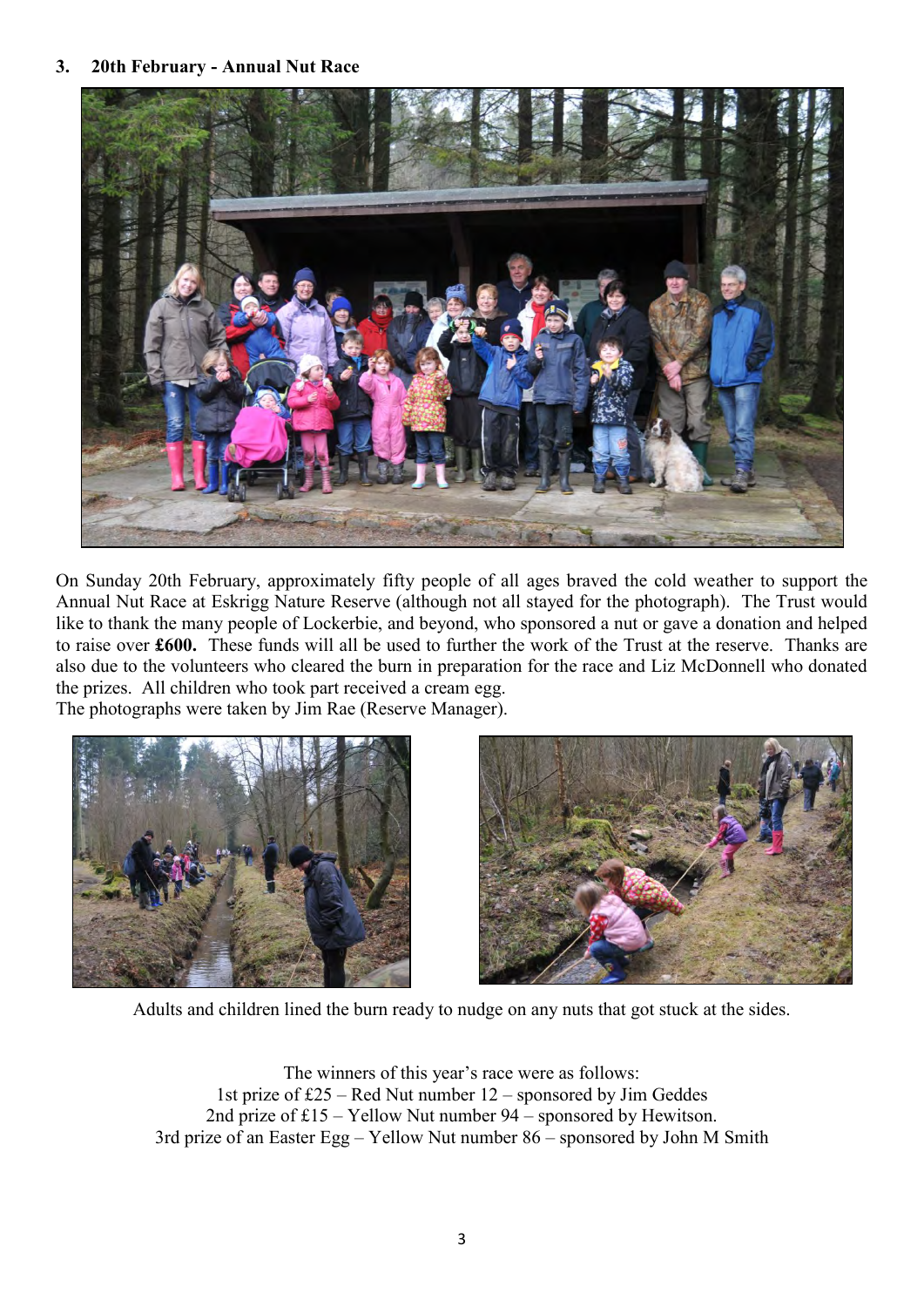#### **3. 20th February - Annual Nut Race**



On Sunday 20th February, approximately fifty people of all ages braved the cold weather to support the Annual Nut Race at Eskrigg Nature Reserve (although not all stayed for the photograph). The Trust would like to thank the many people of Lockerbie, and beyond, who sponsored a nut or gave a donation and helped to raise over **£600.** These funds will all be used to further the work of the Trust at the reserve. Thanks are also due to the volunteers who cleared the burn in preparation for the race and Liz McDonnell who donated the prizes. All children who took part received a cream egg.

The photographs were taken by Jim Rae (Reserve Manager).





Adults and children lined the burn ready to nudge on any nuts that got stuck at the sides.

The winners of this year's race were as follows: 1st prize of £25 – Red Nut number 12 – sponsored by Jim Geddes 2nd prize of £15 – Yellow Nut number 94 – sponsored by Hewitson. 3rd prize of an Easter Egg – Yellow Nut number 86 – sponsored by John M Smith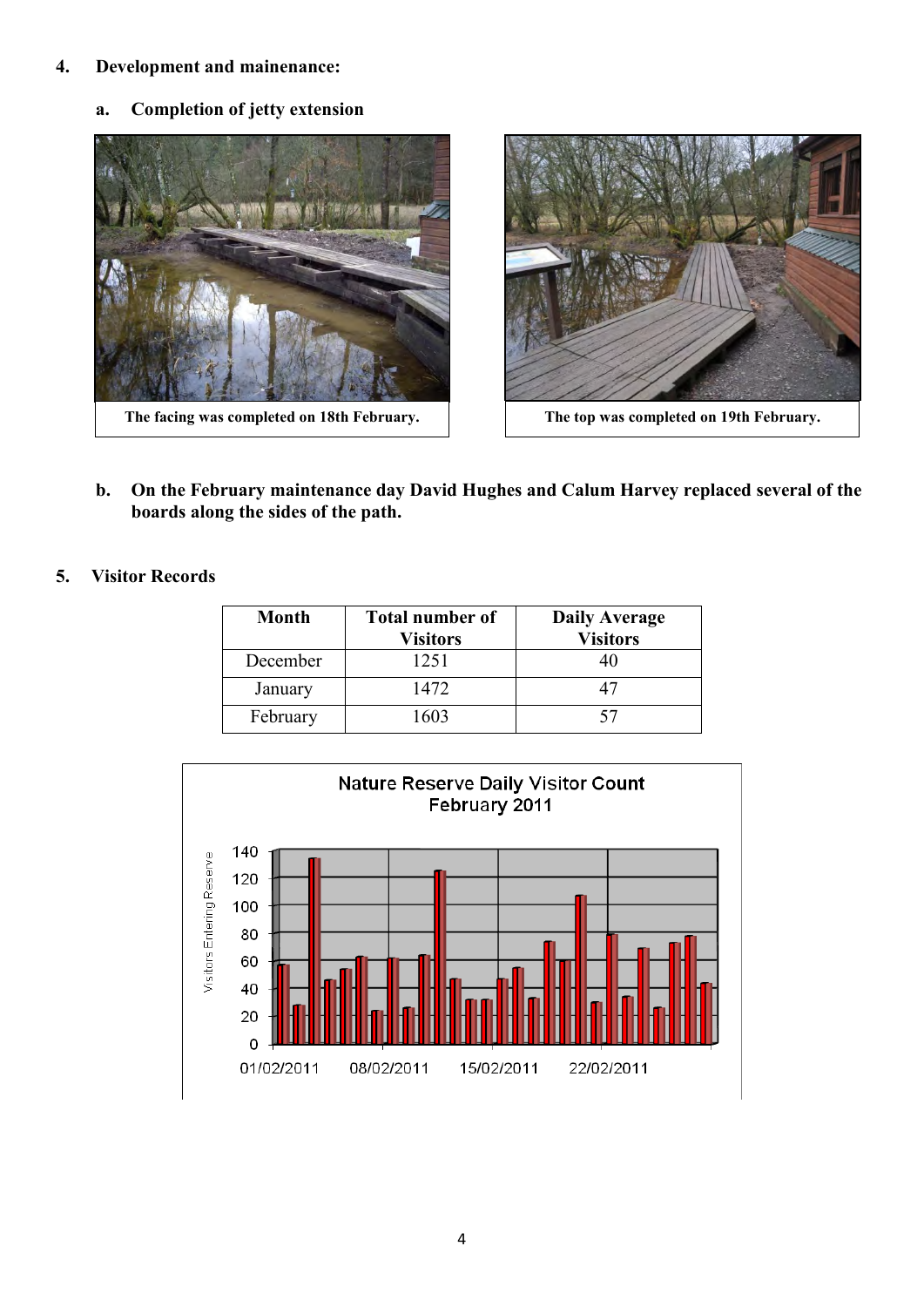#### **4. Development and mainenance:**

 **a. Completion of jetty extension** 





**b. On the February maintenance day David Hughes and Calum Harvey replaced several of the boards along the sides of the path.** 

## **5. Visitor Records**

| <b>Month</b> | <b>Total number of</b><br><b>Visitors</b> | <b>Daily Average</b><br><b>Visitors</b> |
|--------------|-------------------------------------------|-----------------------------------------|
| December     | 1251                                      |                                         |
| January      | 1472                                      | 47                                      |
| February     | 1603                                      | 57                                      |

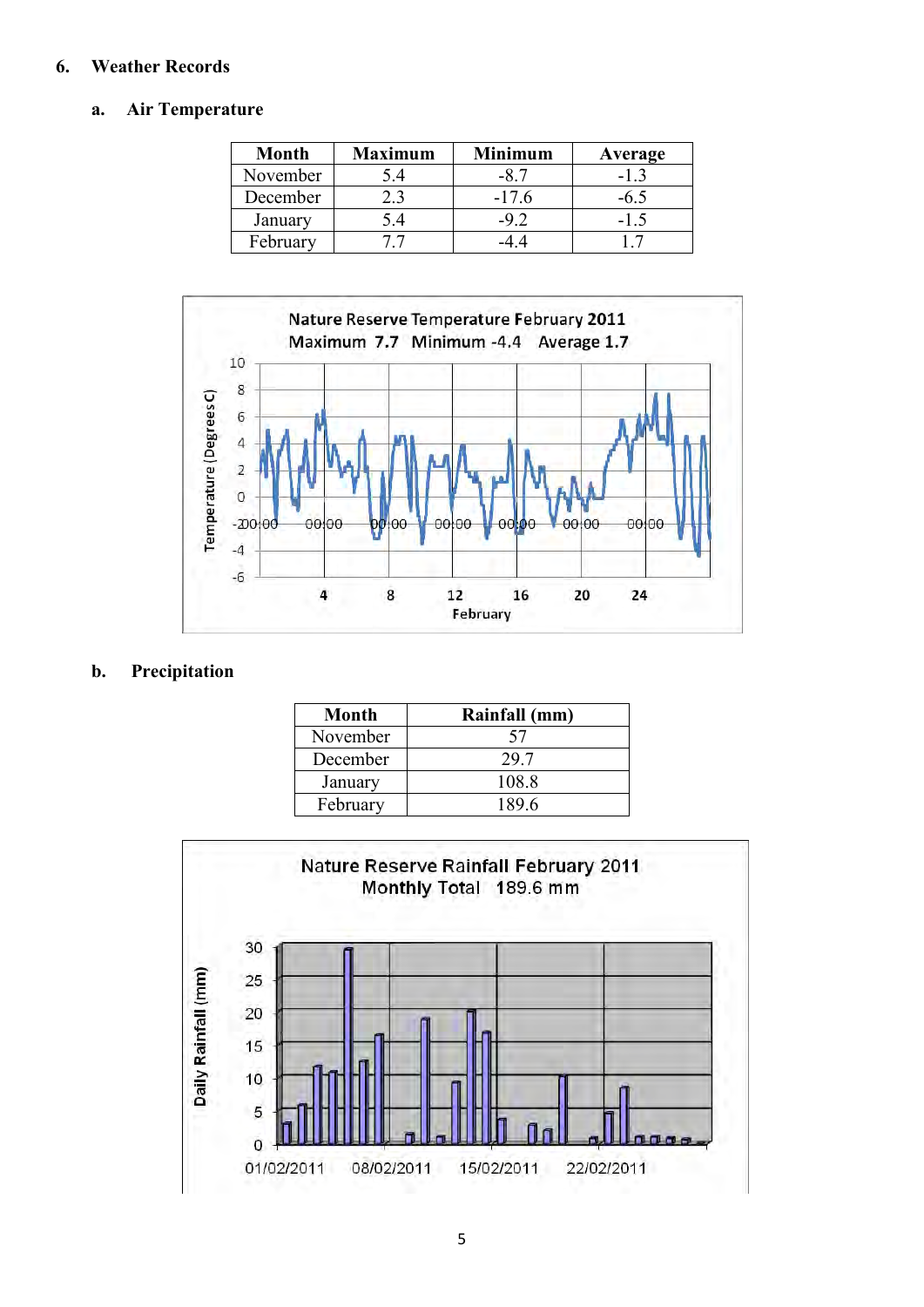## **6. Weather Records**

#### **a. Air Temperature**

| <b>Month</b> | <b>Maximum</b> | <b>Minimum</b> | Average |
|--------------|----------------|----------------|---------|
| November     | 5.4            |                |         |
| December     |                | $-17.6$        |         |
| January      | 54             | –9 ⊇           |         |
| February     |                |                |         |



## **b. Precipitation**

| Month    | Rainfall (mm) |
|----------|---------------|
| November | 57            |
| December | 29.7          |
| January  | 108.8         |
| February | 189.6         |

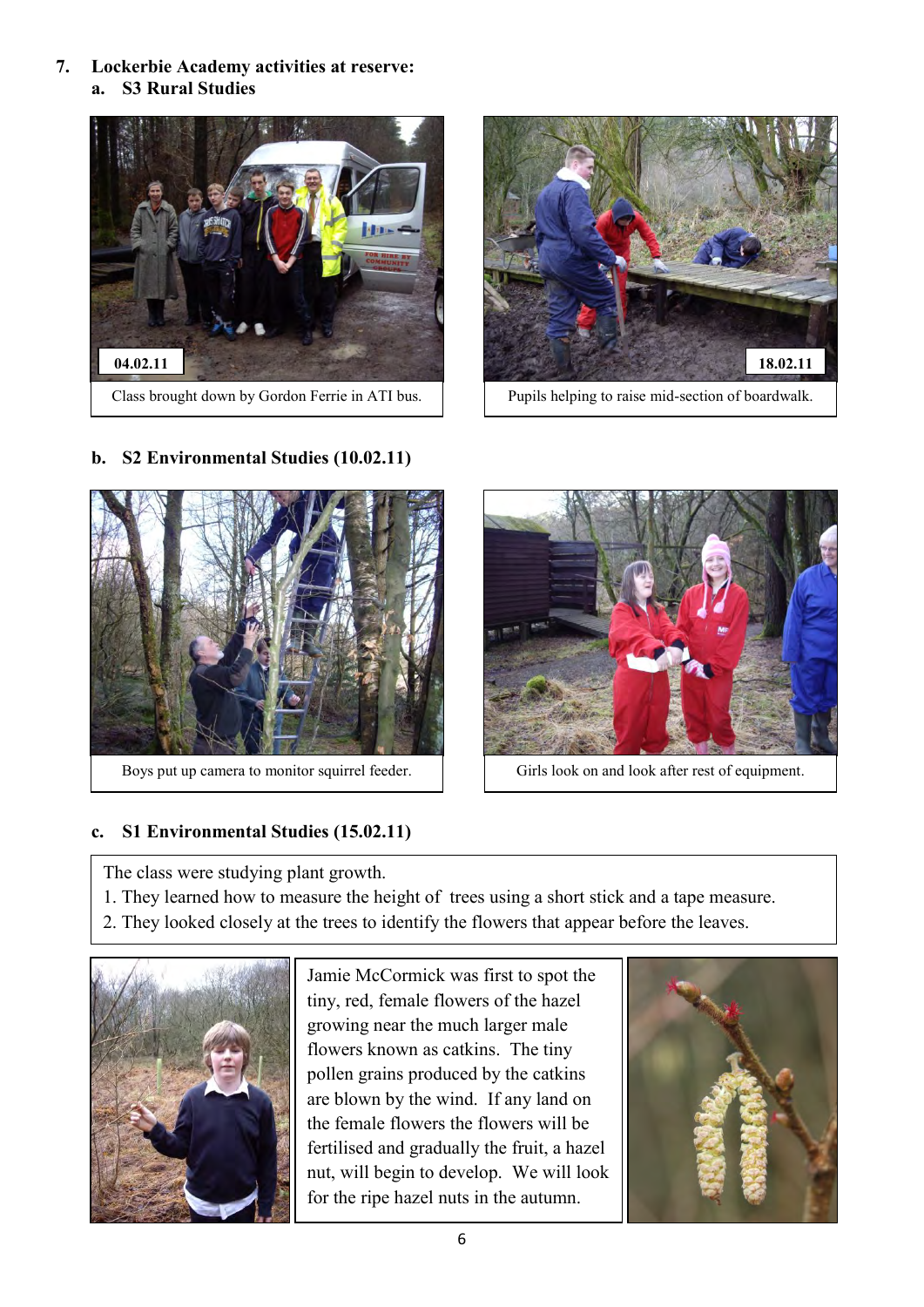**7. Lockerbie Academy activities at reserve: a. S3 Rural Studies** 







Boys put up camera to monitor squirrel feeder.  $\vert$  Girls look on and look after rest of equipment.



# **c. S1 Environmental Studies (15.02.11)**

The class were studying plant growth.

- 1. They learned how to measure the height of trees using a short stick and a tape measure.
- 2. They looked closely at the trees to identify the flowers that appear before the leaves.



Jamie McCormick was first to spot the tiny, red, female flowers of the hazel growing near the much larger male flowers known as catkins. The tiny pollen grains produced by the catkins are blown by the wind. If any land on the female flowers the flowers will be fertilised and gradually the fruit, a hazel nut, will begin to develop. We will look for the ripe hazel nuts in the autumn.



# **b. S2 Environmental Studies (10.02.11)**